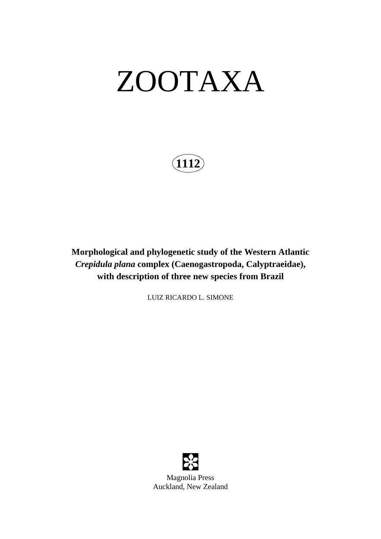# ZOOTAXA

**1112**

**Morphological and phylogenetic study of the Western Atlantic**  *Crepidula plana* **complex (Caenogastropoda, Calyptraeidae), with description of three new species from Brazil**

LUIZ RICARDO L. SIMONE



Magnolia Press Auckland, New Zealand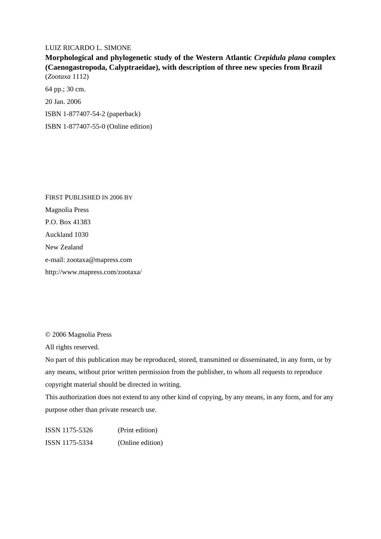#### LUIZ RICARDO L. SIMONE

**Morphological and phylogenetic study of the Western Atlantic** *Crepidula plana* **complex (Caenogastropoda, Calyptraeidae), with description of three new species from Brazil** (*Zootaxa* 1112)

64 pp.; 30 cm.

20 Jan. 2006

ISBN 1-877407-54-2 (paperback)

ISBN 1-877407-55-0 (Online edition)

FIRST PUBLISHED IN 2006 BY Magnolia Press P.O. Box 41383 Auckland 1030 New Zealand e-mail: zootaxa@mapress.com http://www.mapress.com/zootaxa/

© 2006 Magnolia Press

All rights reserved.

No part of this publication may be reproduced, stored, transmitted or disseminated, in any form, or by any means, without prior written permission from the publisher, to whom all requests to reproduce copyright material should be directed in writing.

This authorization does not extend to any other kind of copying, by any means, in any form, and for any purpose other than private research use.

ISSN 1175-5326 (Print edition) ISSN 1175-5334 (Online edition)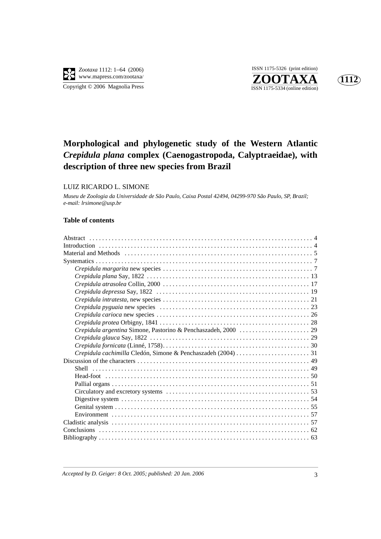

**ZOOTAXA**<br>
ISSN 1175-5334 (online edition) ISSN 1175-5326 (print edition)



## **Morphological and phylogenetic study of the Western Atlantic** *Crepidula plana* **complex (Caenogastropoda, Calyptraeidae), with description of three new species from Brazil**

#### LUIZ RICARDO L. SIMONE

*Museu de Zoologia da Universidade de São Paulo, Caixa Postal 42494, 04299-970 São Paulo, SP, Brazil; e-mail: lrsimone@usp.br*

#### **Table of contents**

| Material and Methods entertainment contains the contract of the material and Methods entertainment of 5 |
|---------------------------------------------------------------------------------------------------------|
|                                                                                                         |
|                                                                                                         |
|                                                                                                         |
|                                                                                                         |
|                                                                                                         |
|                                                                                                         |
|                                                                                                         |
|                                                                                                         |
|                                                                                                         |
|                                                                                                         |
|                                                                                                         |
|                                                                                                         |
|                                                                                                         |
|                                                                                                         |
|                                                                                                         |
|                                                                                                         |
|                                                                                                         |
|                                                                                                         |
|                                                                                                         |
|                                                                                                         |
|                                                                                                         |
|                                                                                                         |
|                                                                                                         |
|                                                                                                         |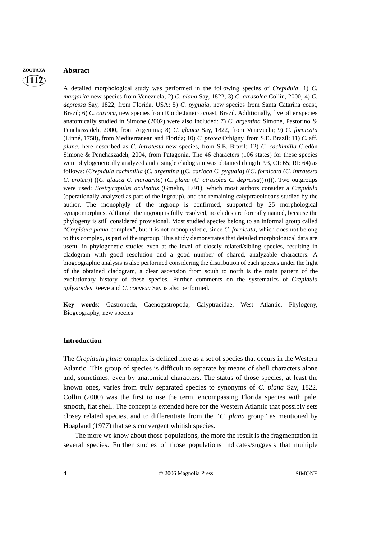### **1112 ZOOTAXA Abstract**

A detailed morphological study was performed in the following species of *Crepidula*: 1) *C. margarita* new species from Venezuela; 2) *C. plana* Say, 1822; 3) *C. atrasolea* Collin, 2000; 4) *C. depressa* Say, 1822, from Florida, USA; 5) *C. pyguaia*, new species from Santa Catarina coast, Brazil; 6) *C. carioca*, new species from Rio de Janeiro coast, Brazil. Additionally, five other species anatomically studied in Simone (2002) were also included: 7) *C. argentina* Simone, Pastorino & Penchaszadeh, 2000, from Argentina; 8) *C. glauca* Say, 1822, from Venezuela; 9) *C. fornicata* (Linné, 1758), from Mediterranean and Florida; 10) *C. protea* Orbigny, from S.E. Brazil; 11) *C*. aff. *plana*, here described as *C. intratesta* new species, from S.E. Brazil; 12) *C. cachimilla* Cledón Simone & Penchaszadeh, 2004, from Patagonia. The 46 characters (106 states) for these species were phylogenetically analyzed and a single cladogram was obtained (length: 93, CI: 65; RI: 64) as follows: (*Crepidula cachimilla* (*C. argentina* ((*C. carioca C. pyguaia*) ((*C. fornicata* (*C. intratesta C. protea*)) ((*C. glauca C. margarita*) (*C. plana* (*C. atrasolea C. depressa*))))))). Two outgroups were used: *Bostrycapulus aculeatus* (Gmelin, 1791), which most authors consider a *Crepidula* (operationally analyzed as part of the ingroup), and the remaining calyptraeoideans studied by the author. The monophyly of the ingroup is confirmed, supported by 25 morphological synapomorphies. Although the ingroup is fully resolved, no clades are formally named, because the phylogeny is still considered provisional. Most studied species belong to an informal group called "*Crepidula plana*-complex", but it is not monophyletic, since *C. fornicata*, which does not belong to this complex, is part of the ingroup. This study demonstrates that detailed morphological data are useful in phylogenetic studies even at the level of closely related/sibling species, resulting in cladogram with good resolution and a good number of shared, analyzable characters. A biogeographic analysis is also performed considering the distribution of each species under the light of the obtained cladogram, a clear ascension from south to north is the main pattern of the evolutionary history of these species. Further comments on the systematics of *Crepidula aplysioides* Reeve and *C. convexa* Say is also performed.

**Key words**: Gastropoda, Caenogastropoda, Calyptraeidae, West Atlantic, Phylogeny, Biogeography, new species

#### **Introduction**

The *Crepidula plana* complex is defined here as a set of species that occurs in the Western Atlantic. This group of species is difficult to separate by means of shell characters alone and, sometimes, even by anatomical characters. The status of those species, at least the known ones, varies from truly separated species to synonyms of *C. plana* Say, 1822. Collin (2000) was the first to use the term, encompassing Florida species with pale, smooth, flat shell. The concept is extended here for the Western Atlantic that possibly sets closey related species, and to differentiate from the *"C. plana* group" as mentioned by Hoagland (1977) that sets convergent whitish species.

The more we know about those populations, the more the result is the fragmentation in several species. Further studies of those populations indicates/suggests that multiple